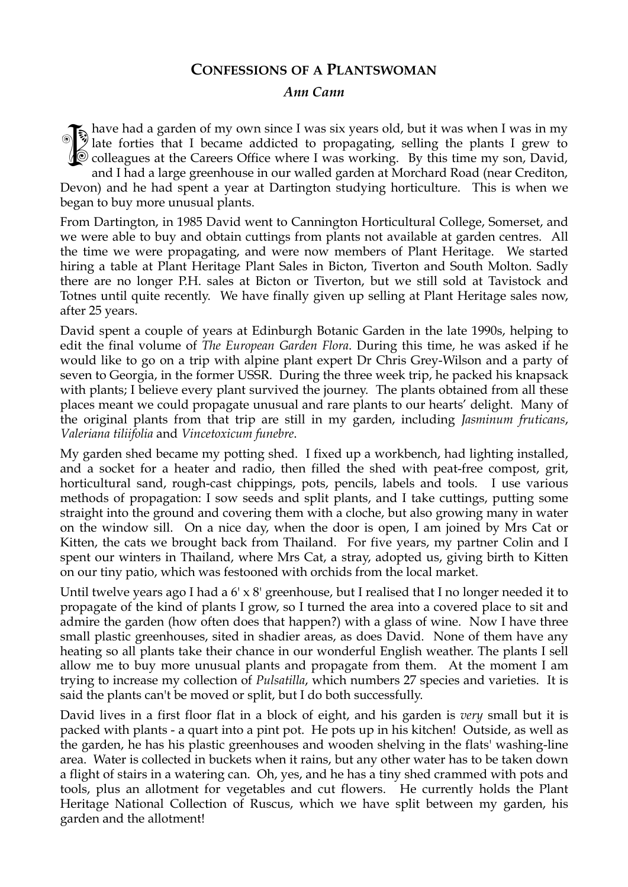## **CONFESSIONS OF A PLANTSWOMAN**

## *Ann Cann*

have had a garden of my own since I was six years old, but it was when I was in my late forties that I became addicted to propagating, selling the plants I grew to  $\Diamond$  colleagues at the Careers Office where I was working. By this time my son, David, and I had a large greenhouse in our walled garden at Morchard Road (near Crediton, Devon) and he had spent a year at Dartington studying horticulture. This is when we began to buy more unusual plants. **ISSUE** 

From Dartington, in 1985 David went to Cannington Horticultural College, Somerset, and we were able to buy and obtain cuttings from plants not available at garden centres. All the time we were propagating, and were now members of Plant Heritage. We started hiring a table at Plant Heritage Plant Sales in Bicton, Tiverton and South Molton. Sadly there are no longer P.H. sales at Bicton or Tiverton, but we still sold at Tavistock and Totnes until quite recently. We have finally given up selling at Plant Heritage sales now, after 25 years.

David spent a couple of years at Edinburgh Botanic Garden in the late 1990s, helping to edit the final volume of *The European Garden Flora*. During this time, he was asked if he would like to go on a trip with alpine plant expert Dr Chris Grey-Wilson and a party of seven to Georgia, in the former USSR. During the three week trip, he packed his knapsack with plants; I believe every plant survived the journey. The plants obtained from all these places meant we could propagate unusual and rare plants to our hearts' delight. Many of the original plants from that trip are still in my garden, including *Jasminum fruticans*, *Valeriana tiliifolia* and *Vincetoxicum funebre*.

My garden shed became my potting shed. I fixed up a workbench, had lighting installed, and a socket for a heater and radio, then filled the shed with peat-free compost, grit, horticultural sand, rough-cast chippings, pots, pencils, labels and tools. I use various methods of propagation: I sow seeds and split plants, and I take cuttings, putting some straight into the ground and covering them with a cloche, but also growing many in water on the window sill. On a nice day, when the door is open, I am joined by Mrs Cat or Kitten, the cats we brought back from Thailand. For five years, my partner Colin and I spent our winters in Thailand, where Mrs Cat, a stray, adopted us, giving birth to Kitten on our tiny patio, which was festooned with orchids from the local market.

Until twelve years ago I had a 6' x 8' greenhouse, but I realised that I no longer needed it to propagate of the kind of plants I grow, so I turned the area into a covered place to sit and admire the garden (how often does that happen?) with a glass of wine. Now I have three small plastic greenhouses, sited in shadier areas, as does David. None of them have any heating so all plants take their chance in our wonderful English weather. The plants I sell allow me to buy more unusual plants and propagate from them. At the moment I am trying to increase my collection of *Pulsatilla*, which numbers 27 species and varieties. It is said the plants can't be moved or split, but I do both successfully.

David lives in a first floor flat in a block of eight, and his garden is *very* small but it is packed with plants - a quart into a pint pot. He pots up in his kitchen! Outside, as well as the garden, he has his plastic greenhouses and wooden shelving in the flats' washing-line area. Water is collected in buckets when it rains, but any other water has to be taken down a flight of stairs in a watering can. Oh, yes, and he has a tiny shed crammed with pots and tools, plus an allotment for vegetables and cut flowers. He currently holds the Plant Heritage National Collection of Ruscus, which we have split between my garden, his garden and the allotment!